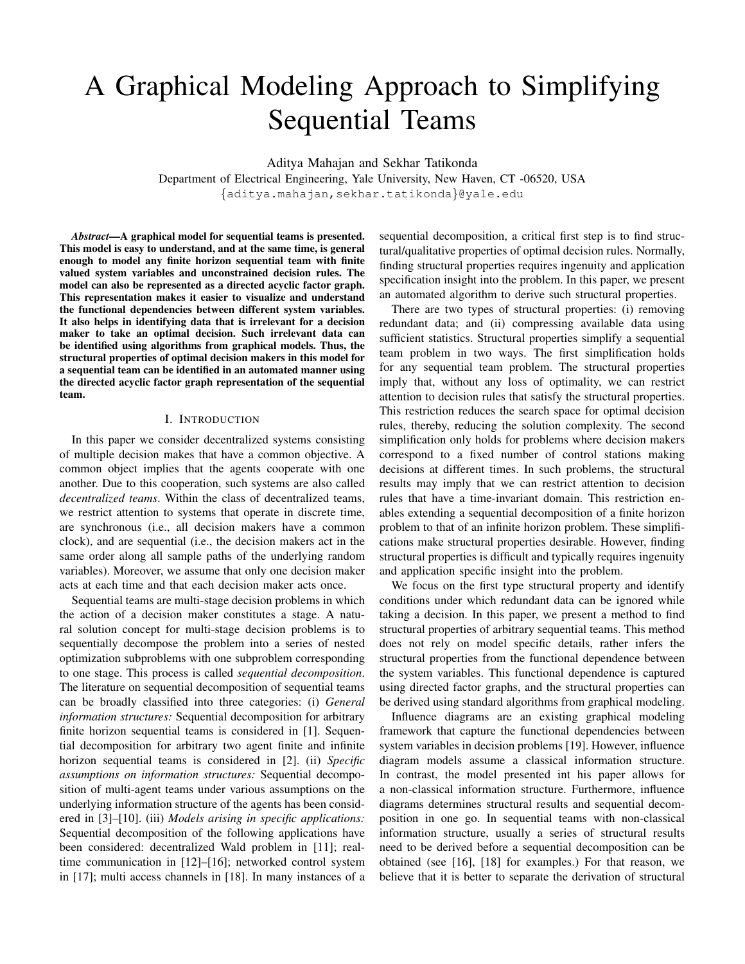# A Graphical Modeling Approach to Simplifying Sequential Teams

Aditya Mahajan and Sekhar Tatikonda

Department of Electrical Engineering, Yale University, New Haven, CT -06520, USA {aditya.mahajan,sekhar.tatikonda}@yale.edu

*Abstract*—A graphical model for sequential teams is presented. This model is easy to understand, and at the same time, is general enough to model any finite horizon sequential team with finite valued system variables and unconstrained decision rules. The model can also be represented as a directed acyclic factor graph. This representation makes it easier to visualize and understand the functional dependencies between different system variables. It also helps in identifying data that is irrelevant for a decision maker to take an optimal decision. Such irrelevant data can be identified using algorithms from graphical models. Thus, the structural properties of optimal decision makers in this model for a sequential team can be identified in an automated manner using the directed acyclic factor graph representation of the sequential team.

# I. INTRODUCTION

In this paper we consider decentralized systems consisting of multiple decision makes that have a common objective. A common object implies that the agents cooperate with one another. Due to this cooperation, such systems are also called *decentralized teams*. Within the class of decentralized teams, we restrict attention to systems that operate in discrete time, are synchronous (i.e., all decision makers have a common clock), and are sequential (i.e., the decision makers act in the same order along all sample paths of the underlying random variables). Moreover, we assume that only one decision maker acts at each time and that each decision maker acts once.

Sequential teams are multi-stage decision problems in which the action of a decision maker constitutes a stage. A natural solution concept for multi-stage decision problems is to sequentially decompose the problem into a series of nested optimization subproblems with one subproblem corresponding to one stage. This process is called *sequential decomposition*. The literature on sequential decomposition of sequential teams can be broadly classified into three categories: (i) *General information structures:* Sequential decomposition for arbitrary finite horizon sequential teams is considered in [1]. Sequential decomposition for arbitrary two agent finite and infinite horizon sequential teams is considered in [2]. (ii) *Specific assumptions on information structures:* Sequential decomposition of multi-agent teams under various assumptions on the underlying information structure of the agents has been considered in [3]–[10]. (iii) *Models arising in specific applications:* Sequential decomposition of the following applications have been considered: decentralized Wald problem in [11]; realtime communication in [12]–[16]; networked control system in [17]; multi access channels in [18]. In many instances of a sequential decomposition, a critical first step is to find structural/qualitative properties of optimal decision rules. Normally, finding structural properties requires ingenuity and application specification insight into the problem. In this paper, we present an automated algorithm to derive such structural properties.

There are two types of structural properties: (i) removing redundant data; and (ii) compressing available data using sufficient statistics. Structural properties simplify a sequential team problem in two ways. The first simplification holds for any sequential team problem. The structural properties imply that, without any loss of optimality, we can restrict attention to decision rules that satisfy the structural properties. This restriction reduces the search space for optimal decision rules, thereby, reducing the solution complexity. The second simplification only holds for problems where decision makers correspond to a fixed number of control stations making decisions at different times. In such problems, the structural results may imply that we can restrict attention to decision rules that have a time-invariant domain. This restriction enables extending a sequential decomposition of a finite horizon problem to that of an infinite horizon problem. These simplifications make structural properties desirable. However, finding structural properties is difficult and typically requires ingenuity and application specific insight into the problem.

We focus on the first type structural property and identify conditions under which redundant data can be ignored while taking a decision. In this paper, we present a method to find structural properties of arbitrary sequential teams. This method does not rely on model specific details, rather infers the structural properties from the functional dependence between the system variables. This functional dependence is captured using directed factor graphs, and the structural properties can be derived using standard algorithms from graphical modeling.

Influence diagrams are an existing graphical modeling framework that capture the functional dependencies between system variables in decision problems [19]. However, influence diagram models assume a classical information structure. In contrast, the model presented int his paper allows for a non-classical information structure. Furthermore, influence diagrams determines structural results and sequential decomposition in one go. In sequential teams with non-classical information structure, usually a series of structural results need to be derived before a sequential decomposition can be obtained (see [16], [18] for examples.) For that reason, we believe that it is better to separate the derivation of structural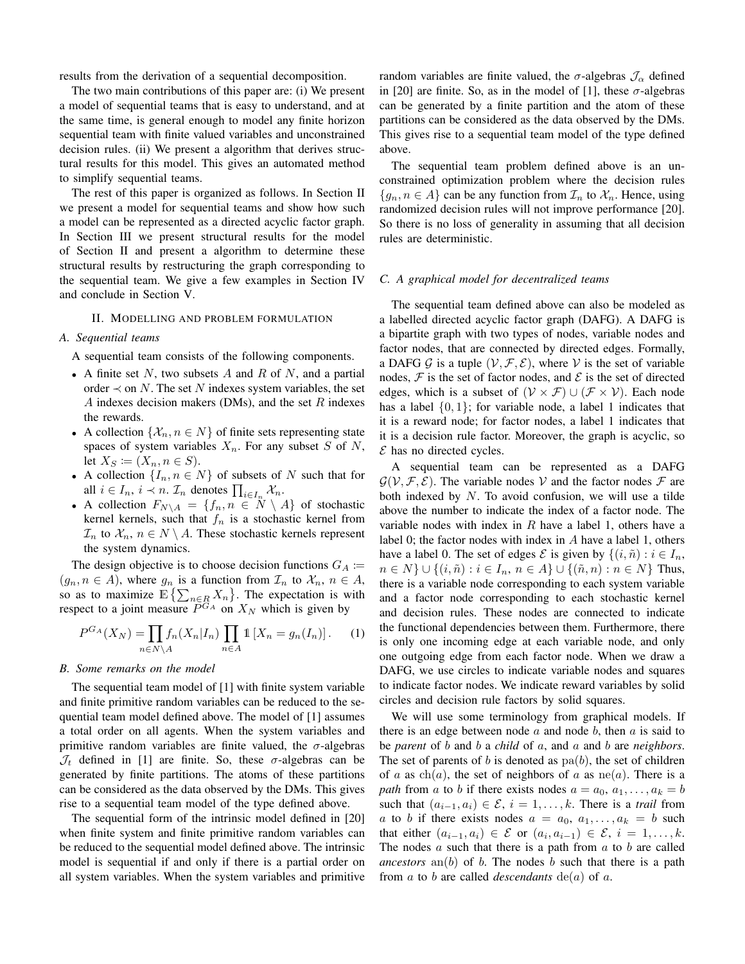results from the derivation of a sequential decomposition.

The two main contributions of this paper are: (i) We present a model of sequential teams that is easy to understand, and at the same time, is general enough to model any finite horizon sequential team with finite valued variables and unconstrained decision rules. (ii) We present a algorithm that derives structural results for this model. This gives an automated method to simplify sequential teams.

The rest of this paper is organized as follows. In Section II we present a model for sequential teams and show how such a model can be represented as a directed acyclic factor graph. In Section III we present structural results for the model of Section II and present a algorithm to determine these structural results by restructuring the graph corresponding to the sequential team. We give a few examples in Section IV and conclude in Section V.

## II. MODELLING AND PROBLEM FORMULATION

## *A. Sequential teams*

A sequential team consists of the following components.

- A finite set  $N$ , two subsets  $A$  and  $R$  of  $N$ , and a partial order  $\prec$  on N. The set N indexes system variables, the set A indexes decision makers (DMs), and the set  $R$  indexes the rewards.
- A collection  $\{\mathcal{X}_n, n \in \mathbb{N}\}\$  of finite sets representing state spaces of system variables  $X_n$ . For any subset S of N, let  $X_S \coloneqq (X_n, n \in S)$ .
- A collection  $\{I_n, n \in N\}$  of subsets of N such that for all  $i \in I_n$ ,  $i \prec n$ .  $\mathcal{I}_n$  denotes  $\prod_{i \in I_n} \mathcal{X}_n$ .
- A collection  $F_{N\setminus A} = \{f_n, n \in \tilde{N} \setminus A\}$  of stochastic kernel kernels, such that  $f_n$  is a stochastic kernel from  $\mathcal{I}_n$  to  $\mathcal{X}_n, n \in \mathbb{N} \setminus \mathbb{A}$ . These stochastic kernels represent the system dynamics.

The design objective is to choose decision functions  $G_A \coloneqq$  $(g_n, n \in A)$ , where  $g_n$  is a function from  $\mathcal{I}_n$  to  $\mathcal{X}_n$ ,  $n \in A$ , so as to maximize  $\mathbb{E}\left\{\sum_{n\in\mathbb{R}}X_n\right\}$ . The expectation is with respect to a joint measure  $\overline{P}^{G_A}$  on  $X_N$  which is given by

$$
P^{G_A}(X_N) = \prod_{n \in N \backslash A} f_n(X_n | I_n) \prod_{n \in A} \mathbb{1}[X_n = g_n(I_n)]. \tag{1}
$$

# *B. Some remarks on the model*

The sequential team model of [1] with finite system variable and finite primitive random variables can be reduced to the sequential team model defined above. The model of [1] assumes a total order on all agents. When the system variables and primitive random variables are finite valued, the  $\sigma$ -algebras  $\mathcal{J}_t$  defined in [1] are finite. So, these  $\sigma$ -algebras can be generated by finite partitions. The atoms of these partitions can be considered as the data observed by the DMs. This gives rise to a sequential team model of the type defined above.

The sequential form of the intrinsic model defined in [20] when finite system and finite primitive random variables can be reduced to the sequential model defined above. The intrinsic model is sequential if and only if there is a partial order on all system variables. When the system variables and primitive random variables are finite valued, the  $\sigma$ -algebras  $\mathcal{J}_{\alpha}$  defined in [20] are finite. So, as in the model of [1], these  $\sigma$ -algebras can be generated by a finite partition and the atom of these partitions can be considered as the data observed by the DMs. This gives rise to a sequential team model of the type defined above.

The sequential team problem defined above is an unconstrained optimization problem where the decision rules  ${g_n, n \in A}$  can be any function from  $\mathcal{I}_n$  to  $\mathcal{X}_n$ . Hence, using randomized decision rules will not improve performance [20]. So there is no loss of generality in assuming that all decision rules are deterministic.

## *C. A graphical model for decentralized teams*

The sequential team defined above can also be modeled as a labelled directed acyclic factor graph (DAFG). A DAFG is a bipartite graph with two types of nodes, variable nodes and factor nodes, that are connected by directed edges. Formally, a DAFG G is a tuple  $(V, \mathcal{F}, \mathcal{E})$ , where V is the set of variable nodes,  $\mathcal F$  is the set of factor nodes, and  $\mathcal E$  is the set of directed edges, which is a subset of  $(\mathcal{V} \times \mathcal{F}) \cup (\mathcal{F} \times \mathcal{V})$ . Each node has a label  $\{0, 1\}$ ; for variable node, a label 1 indicates that it is a reward node; for factor nodes, a label 1 indicates that it is a decision rule factor. Moreover, the graph is acyclic, so  $\mathcal E$  has no directed cycles.

A sequential team can be represented as a DAFG  $\mathcal{G}(\mathcal{V}, \mathcal{F}, \mathcal{E})$ . The variable nodes V and the factor nodes F are both indexed by  $N$ . To avoid confusion, we will use a tilde above the number to indicate the index of a factor node. The variable nodes with index in  $R$  have a label 1, others have a label 0; the factor nodes with index in A have a label 1, others have a label 0. The set of edges  $\mathcal E$  is given by  $\{(i, \tilde{n}) : i \in I_n,$  $n \in N$   $\cup$   $\{(i, \tilde{n}) : i \in I_n, n \in A\} \cup \{(\tilde{n}, n) : n \in N\}$  Thus, there is a variable node corresponding to each system variable and a factor node corresponding to each stochastic kernel and decision rules. These nodes are connected to indicate the functional dependencies between them. Furthermore, there is only one incoming edge at each variable node, and only one outgoing edge from each factor node. When we draw a DAFG, we use circles to indicate variable nodes and squares to indicate factor nodes. We indicate reward variables by solid circles and decision rule factors by solid squares.

We will use some terminology from graphical models. If there is an edge between node  $a$  and node  $b$ , then  $a$  is said to be *parent* of b and b a *child* of a, and a and b are *neighbors*. The set of parents of b is denoted as  $pa(b)$ , the set of children of a as  $ch(a)$ , the set of neighbors of a as  $ne(a)$ . There is a *path* from a to b if there exists nodes  $a = a_0, a_1, \ldots, a_k = b$ such that  $(a_{i-1}, a_i) \in \mathcal{E}, i = 1, \ldots, k$ . There is a *trail* from a to b if there exists nodes  $a = a_0, a_1, \ldots, a_k = b$  such that either  $(a_{i-1}, a_i) \in \mathcal{E}$  or  $(a_i, a_{i-1}) \in \mathcal{E}$ ,  $i = 1, \ldots, k$ . The nodes  $a$  such that there is a path from  $a$  to  $b$  are called *ancestors* an(b) of b. The nodes b such that there is a path from  $a$  to  $b$  are called *descendants*  $de(a)$  of  $a$ .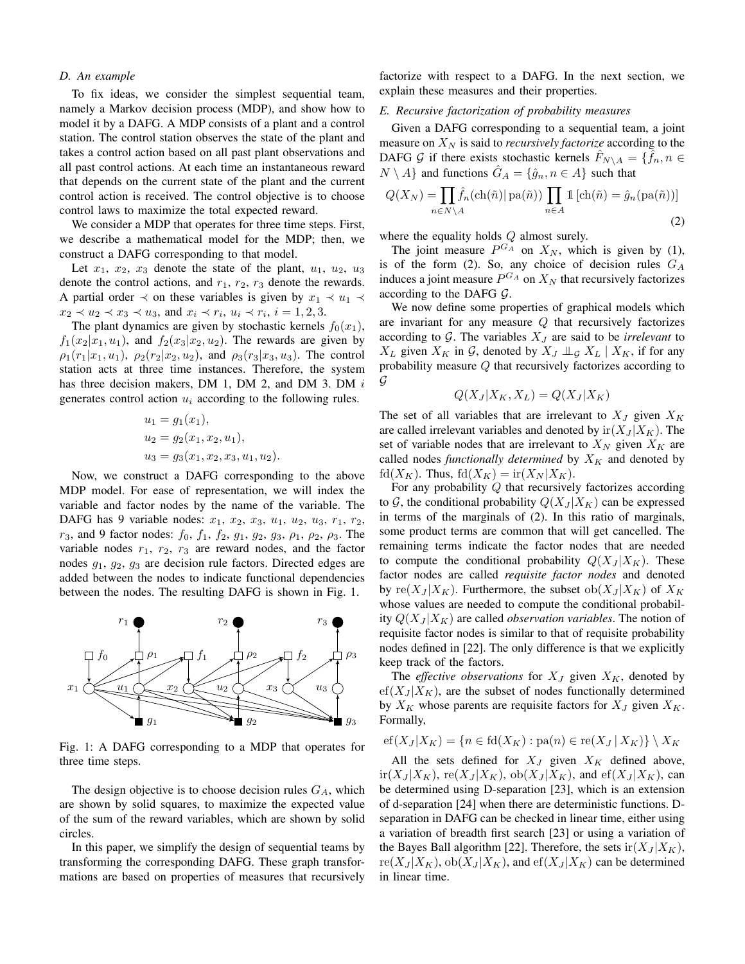# *D. An example*

To fix ideas, we consider the simplest sequential team, namely a Markov decision process (MDP), and show how to model it by a DAFG. A MDP consists of a plant and a control station. The control station observes the state of the plant and takes a control action based on all past plant observations and all past control actions. At each time an instantaneous reward that depends on the current state of the plant and the current control action is received. The control objective is to choose control laws to maximize the total expected reward.

We consider a MDP that operates for three time steps. First, we describe a mathematical model for the MDP; then, we construct a DAFG corresponding to that model.

Let  $x_1$ ,  $x_2$ ,  $x_3$  denote the state of the plant,  $u_1$ ,  $u_2$ ,  $u_3$ denote the control actions, and  $r_1$ ,  $r_2$ ,  $r_3$  denote the rewards. A partial order  $\prec$  on these variables is given by  $x_1 \prec u_1 \prec$  $x_2 \prec u_2 \prec x_3 \prec u_3$ , and  $x_i \prec r_i$ ,  $u_i \prec r_i$ ,  $i = 1, 2, 3$ .

The plant dynamics are given by stochastic kernels  $f_0(x_1)$ ,  $f_1(x_2|x_1, u_1)$ , and  $f_2(x_3|x_2, u_2)$ . The rewards are given by  $\rho_1(r_1|x_1, u_1)$ ,  $\rho_2(r_2|x_2, u_2)$ , and  $\rho_3(r_3|x_3, u_3)$ . The control station acts at three time instances. Therefore, the system has three decision makers, DM 1, DM 2, and DM 3. DM  $i$ generates control action  $u_i$  according to the following rules.

$$
u_1 = g_1(x_1),
$$
  
\n
$$
u_2 = g_2(x_1, x_2, u_1),
$$
  
\n
$$
u_3 = g_3(x_1, x_2, x_3, u_1, u_2).
$$

Now, we construct a DAFG corresponding to the above MDP model. For ease of representation, we will index the variable and factor nodes by the name of the variable. The DAFG has 9 variable nodes:  $x_1$ ,  $x_2$ ,  $x_3$ ,  $u_1$ ,  $u_2$ ,  $u_3$ ,  $r_1$ ,  $r_2$ ,  $r_3$ , and 9 factor nodes:  $f_0$ ,  $f_1$ ,  $f_2$ ,  $g_1$ ,  $g_2$ ,  $g_3$ ,  $\rho_1$ ,  $\rho_2$ ,  $\rho_3$ . The variable nodes  $r_1$ ,  $r_2$ ,  $r_3$  are reward nodes, and the factor nodes  $q_1$ ,  $q_2$ ,  $q_3$  are decision rule factors. Directed edges are added between the nodes to indicate functional dependencies between the nodes. The resulting DAFG is shown in Fig. 1.



Fig. 1: A DAFG corresponding to a MDP that operates for three time steps.

The design objective is to choose decision rules  $G_A$ , which are shown by solid squares, to maximize the expected value of the sum of the reward variables, which are shown by solid circles.

In this paper, we simplify the design of sequential teams by transforming the corresponding DAFG. These graph transformations are based on properties of measures that recursively

factorize with respect to a DAFG. In the next section, we explain these measures and their properties.

# *E. Recursive factorization of probability measures*

Given a DAFG corresponding to a sequential team, a joint measure on  $X_N$  is said to *recursively factorize* according to the DAFG G if there exists stochastic kernels  $\hat{F}_{N\setminus A} = \{ \tilde{f}_n, n \in$  $N \setminus A$  and functions  $\hat{G}_A = \{\hat{g}_n, n \in A\}$  such that

$$
Q(X_N) = \prod_{n \in N \backslash A} \hat{f}_n(\text{ch}(\tilde{n}) | \text{pa}(\tilde{n})) \prod_{n \in A} \mathbb{1} [\text{ch}(\tilde{n}) = \hat{g}_n(\text{pa}(\tilde{n}))]
$$
\n(2)

where the equality holds  $Q$  almost surely.

The joint measure  $P^{G_A}$  on  $X_N$ , which is given by (1), is of the form (2). So, any choice of decision rules  $G_A$ induces a joint measure  $P^{G_A}$  on  $X_N$  that recursively factorizes according to the DAFG  $G$ .

We now define some properties of graphical models which are invariant for any measure  $Q$  that recursively factorizes according to  $G$ . The variables  $X_J$  are said to be *irrelevant* to  $X_L$  given  $X_K$  in  $\mathcal{G}$ , denoted by  $X_J \perp \!\!\! \perp_{\mathcal{G}} X_L \mid X_K$ , if for any probability measure  $Q$  that recursively factorizes according to G

$$
Q(X_J|X_K, X_L) = Q(X_J|X_K)
$$

The set of all variables that are irrelevant to  $X_J$  given  $X_K$ are called irrelevant variables and denoted by  $ir(X_J | X_K)$ . The set of variable nodes that are irrelevant to  $X_N$  given  $X_K$  are called nodes *functionally determined* by  $X_K$  and denoted by  $fd(X_K)$ . Thus,  $fd(X_K) = ir(X_N | X_K)$ .

For any probability Q that recursively factorizes according to  $G$ , the conditional probability  $Q(X_J | X_K)$  can be expressed in terms of the marginals of (2). In this ratio of marginals, some product terms are common that will get cancelled. The remaining terms indicate the factor nodes that are needed to compute the conditional probability  $Q(X_J | X_K)$ . These factor nodes are called *requisite factor nodes* and denoted by  $\text{re}(X_J | X_K)$ . Furthermore, the subset  $\text{ob}(X_J | X_K)$  of  $X_K$ whose values are needed to compute the conditional probability  $Q(X_J | X_K)$  are called *observation variables*. The notion of requisite factor nodes is similar to that of requisite probability nodes defined in [22]. The only difference is that we explicitly keep track of the factors.

The *effective observations* for  $X_J$  given  $X_K$ , denoted by  $\mathrm{ef}(X_J | X_K)$ , are the subset of nodes functionally determined by  $X_K$  whose parents are requisite factors for  $X_J$  given  $X_K$ . Formally,

$$
ef(X_J|X_K) = \{ n \in fd(X_K) : pa(n) \in re(X_J|X_K) \} \setminus X_K
$$

All the sets defined for  $X_J$  given  $X_K$  defined above,  $\operatorname{ir}(X_J | X_K)$ ,  $\operatorname{re}(X_J | X_K)$ ,  $\operatorname{ob}(X_J | X_K)$ , and  $\operatorname{ef}(X_J | X_K)$ , can be determined using D-separation [23], which is an extension of d-separation [24] when there are deterministic functions. Dseparation in DAFG can be checked in linear time, either using a variation of breadth first search [23] or using a variation of the Bayes Ball algorithm [22]. Therefore, the sets ir $(X_J | X_K)$ ,  $re(X_J | X_K)$ ,  $ob(X_J | X_K)$ , and  $ef(X_J | X_K)$  can be determined in linear time.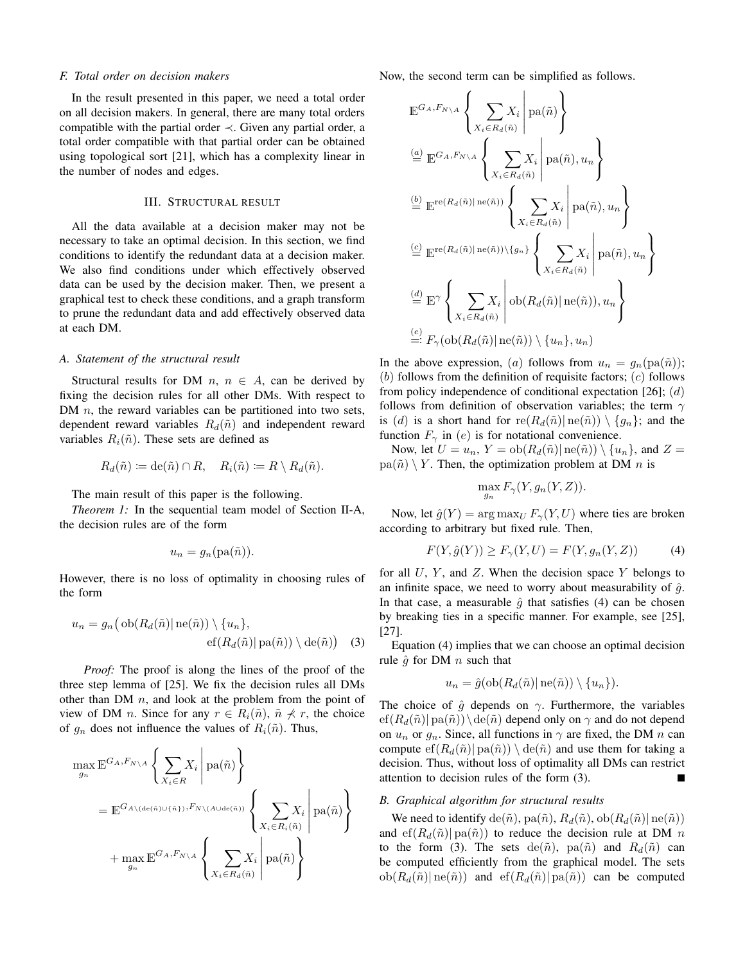## *F. Total order on decision makers*

In the result presented in this paper, we need a total order on all decision makers. In general, there are many total orders compatible with the partial order  $\prec$ . Given any partial order, a total order compatible with that partial order can be obtained using topological sort [21], which has a complexity linear in the number of nodes and edges.

# III. STRUCTURAL RESULT

All the data available at a decision maker may not be necessary to take an optimal decision. In this section, we find conditions to identify the redundant data at a decision maker. We also find conditions under which effectively observed data can be used by the decision maker. Then, we present a graphical test to check these conditions, and a graph transform to prune the redundant data and add effectively observed data at each DM.

# *A. Statement of the structural result*

Structural results for DM  $n, n \in A$ , can be derived by fixing the decision rules for all other DMs. With respect to DM  $n$ , the reward variables can be partitioned into two sets, dependent reward variables  $R_d(\tilde{n})$  and independent reward variables  $R_i(\tilde{n})$ . These sets are defined as

$$
R_d(\tilde{n}) \coloneqq \mathrm{de}(\tilde{n}) \cap R, \quad R_i(\tilde{n}) \coloneqq R \setminus R_d(\tilde{n}).
$$

The main result of this paper is the following.

*Theorem 1:* In the sequential team model of Section II-A, the decision rules are of the form

$$
u_n = g_n(\text{pa}(\tilde{n})).
$$

However, there is no loss of optimality in choosing rules of the form

$$
u_n = g_n\big(\operatorname{ob}(R_d(\tilde{n}) | \operatorname{ne}(\tilde{n})) \setminus \{u_n\},\
$$

$$
\operatorname{ef}(R_d(\tilde{n}) | \operatorname{pa}(\tilde{n})) \setminus \operatorname{de}(\tilde{n})\big) \tag{3}
$$

*Proof:* The proof is along the lines of the proof of the three step lemma of [25]. We fix the decision rules all DMs other than DM  $n$ , and look at the problem from the point of view of DM *n*. Since for any  $r \in R_i(\tilde{n})$ ,  $\tilde{n} \nless r$ , the choice of  $g_n$  does not influence the values of  $R_i(\tilde{n})$ . Thus,

$$
\max_{g_n} \mathbb{E}^{G_A, F_{N \setminus A}} \left\{ \sum_{X_i \in R} X_i \middle| pa(\tilde{n}) \right\}
$$
\n
$$
= \mathbb{E}^{G_{A \setminus (de(\tilde{n}) \cup \{\tilde{n}\})}, F_{N \setminus (A \cup de(\tilde{n}))}} \left\{ \sum_{X_i \in R_i(\tilde{n})} X_i \middle| pa(\tilde{n}) \right\}
$$
\n
$$
+ \max_{g_n} \mathbb{E}^{G_A, F_{N \setminus A}} \left\{ \sum_{X_i \in R_d(\tilde{n})} X_i \middle| pa(\tilde{n}) \right\}
$$

Now, the second term can be simplified as follows.

 $\mathbf{r}$ 

 $\mathbf{v}$ 

 $\lambda$ 

$$
\mathbb{E}^{G_A, F_{N\setminus A}} \left\{ \sum_{X_i \in R_d(\tilde{n})} X_i \middle| pa(\tilde{n}) \right\}
$$
\n
$$
\stackrel{(a)}{=} \mathbb{E}^{G_A, F_{N\setminus A}} \left\{ \sum_{X_i \in R_d(\tilde{n})} X_i \middle| pa(\tilde{n}), u_n \right\}
$$
\n
$$
\stackrel{(b)}{=} \mathbb{E}^{\text{re}(R_d(\tilde{n})|\text{ ne}(\tilde{n}))} \left\{ \sum_{X_i \in R_d(\tilde{n})} X_i \middle| pa(\tilde{n}), u_n \right\}
$$
\n
$$
\stackrel{(c)}{=} \mathbb{E}^{\text{re}(R_d(\tilde{n})|\text{ ne}(\tilde{n})) \setminus \{g_n\}} \left\{ \sum_{X_i \in R_d(\tilde{n})} X_i \middle| pa(\tilde{n}), u_n \right\}
$$
\n
$$
\stackrel{(d)}{=} \mathbb{E}^{\gamma} \left\{ \sum_{X_i \in R_d(\tilde{n})} X_i \middle| ob(R_d(\tilde{n})|\text{ ne}(\tilde{n})), u_n \right\}
$$
\n
$$
\stackrel{(e)}{=} F_{\gamma} (ob(R_d(\tilde{n})|\text{ ne}(\tilde{n})) \setminus \{u_n\}, u_n)
$$

In the above expression, (a) follows from  $u_n = g_n(\text{pa}(\tilde{n}))$ ;  $(b)$  follows from the definition of requisite factors;  $(c)$  follows from policy independence of conditional expectation [26];  $(d)$ follows from definition of observation variables; the term  $\gamma$ is (d) is a short hand for  $\text{re}(R_d(\tilde{n}) | \text{ne}(\tilde{n})) \setminus \{g_n\}$ ; and the function  $F_{\gamma}$  in (e) is for notational convenience.

Now, let  $U = u_n$ ,  $Y = ob(R_d(\tilde{n}) | ne(\tilde{n})) \setminus \{u_n\}$ , and  $Z =$  $pa(\tilde{n}) \setminus Y$ . Then, the optimization problem at DM n is

$$
\max_{g_n} F_{\gamma}(Y, g_n(Y, Z)).
$$

Now, let  $\hat{g}(Y) = \arg \max_{U} F_{\gamma}(Y, U)$  where ties are broken according to arbitrary but fixed rule. Then,

$$
F(Y, \hat{g}(Y)) \ge F_{\gamma}(Y, U) = F(Y, g_n(Y, Z))
$$
\n<sup>(4)</sup>

for all  $U$ ,  $Y$ , and  $Z$ . When the decision space Y belongs to an infinite space, we need to worry about measurability of  $\hat{q}$ . In that case, a measurable  $\hat{g}$  that satisfies (4) can be chosen by breaking ties in a specific manner. For example, see [25], [27].

Equation (4) implies that we can choose an optimal decision rule  $\hat{g}$  for DM  $n$  such that

$$
u_n = \hat{g}(\text{ob}(R_d(\tilde{n}) | \text{ne}(\tilde{n})) \setminus \{u_n\}).
$$

The choice of  $\hat{g}$  depends on  $\gamma$ . Furthermore, the variables  $\operatorname{ef}(R_d(\tilde{n}) | \operatorname{pa}(\tilde{n})) \backslash \operatorname{de}(\tilde{n})$  depend only on  $\gamma$  and do not depend on  $u_n$  or  $g_n$ . Since, all functions in  $\gamma$  are fixed, the DM n can compute  $\operatorname{ef}(R_d(\tilde{n}) | \operatorname{pa}(\tilde{n})) \setminus \operatorname{de}(\tilde{n})$  and use them for taking a decision. Thus, without loss of optimality all DMs can restrict attention to decision rules of the form (3).

## *B. Graphical algorithm for structural results*

We need to identify  $\text{de}(\tilde{n})$ ,  $\text{pa}(\tilde{n})$ ,  $R_d(\tilde{n})$ ,  $\text{ob}(R_d(\tilde{n}))$  ne $(\tilde{n})$ ) and  $\operatorname{ef}(R_d(\tilde{n})| \operatorname{pa}(\tilde{n}))$  to reduce the decision rule at DM n to the form (3). The sets  $de(\tilde{n})$ ,  $pa(\tilde{n})$  and  $R_d(\tilde{n})$  can be computed efficiently from the graphical model. The sets  $ob(R_d(\tilde{n})|ne(\tilde{n}))$  and  $ef(R_d(\tilde{n})|pa(\tilde{n}))$  can be computed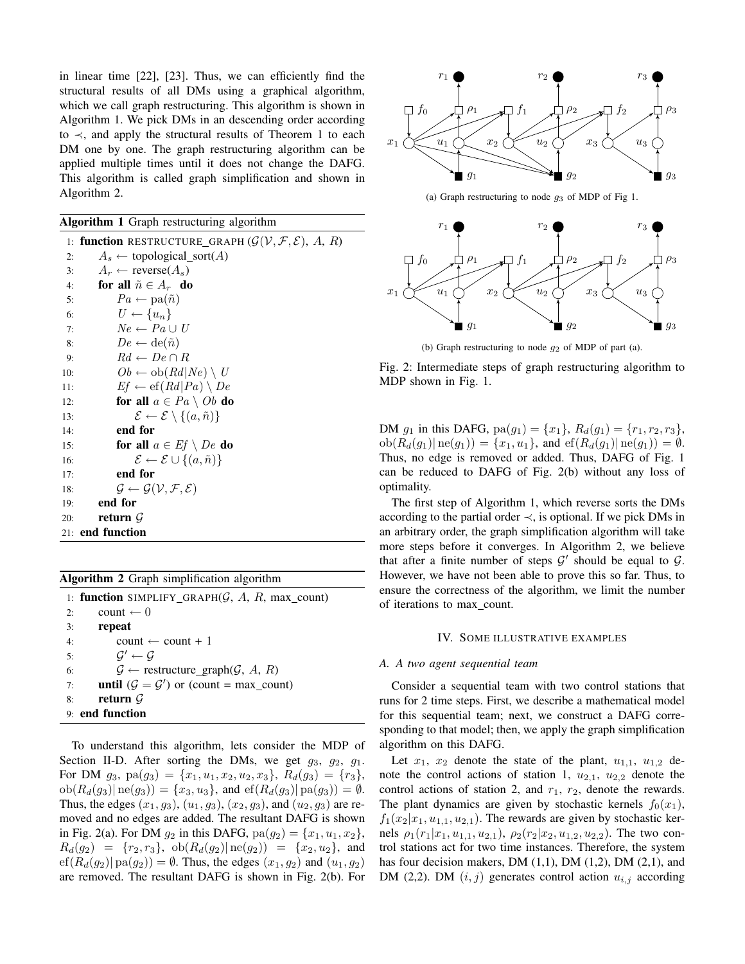in linear time [22], [23]. Thus, we can efficiently find the structural results of all DMs using a graphical algorithm, which we call graph restructuring. This algorithm is shown in Algorithm 1. We pick DMs in an descending order according to ≺, and apply the structural results of Theorem 1 to each DM one by one. The graph restructuring algorithm can be applied multiple times until it does not change the DAFG. This algorithm is called graph simplification and shown in Algorithm 2.

|  |  |  | Algorithm 1 Graph restructuring algorithm |  |
|--|--|--|-------------------------------------------|--|
|--|--|--|-------------------------------------------|--|

1: function RESTRUCTURE GRAPH  $(\mathcal{G}(\mathcal{V}, \mathcal{F}, \mathcal{E}), A, R)$ 2:  $A_s \leftarrow \text{topological\_sort}(A)$ 3:  $A_r$  ← reverse( $A_s$ ) 4: for all  $\tilde{n} \in A_r$  do 5:  $Pa \leftarrow \text{pa}(\tilde{n})$ 6:  $U \leftarrow \{u_n\}$ 7:  $Ne \leftarrow Pa \cup U$ 8:  $De \leftarrow de(\tilde{n})$ 9:  $Rd \leftarrow De \cap R$ 10:  $Ob \leftarrow ob(Rd|Ne) \setminus U$ 11:  $Ef \leftarrow ef(Rd|Pa) \setminus De$ 12: **for all**  $a \in Pa \setminus Ob$  **do** 13:  $\mathcal{E} \leftarrow \mathcal{E} \setminus \{(a, \tilde{n})\}$ 14: end for 15: **for all**  $a \in Ef \setminus De$  **do** 16:  $\mathcal{E} \leftarrow \mathcal{E} \cup \{(a, \tilde{n})\}$ 17: end for 18:  $\mathcal{G} \leftarrow \mathcal{G}(\mathcal{V}, \mathcal{F}, \mathcal{E})$ 19: end for 20: return  $G$ 21: end function

|  | <b>Algorithm 2</b> Graph simplification algorithm |  |  |  |  |  |
|--|---------------------------------------------------|--|--|--|--|--|
|--|---------------------------------------------------|--|--|--|--|--|

| 1: function SIMPLIFY_GRAPH( $\mathcal{G}$ , A, R, max_count)            |  |  |  |
|-------------------------------------------------------------------------|--|--|--|
| count $\leftarrow$ 0<br>2:                                              |  |  |  |
| repeat<br>3:                                                            |  |  |  |
| $count \leftarrow count + 1$<br>4:                                      |  |  |  |
| $G' \leftarrow G$<br>5:                                                 |  |  |  |
| $\mathcal{G} \leftarrow$ restructure_graph( $\mathcal{G}, A, R$ )<br>6: |  |  |  |
| <b>until</b> $(G = G')$ or (count = max_count)<br>7:                    |  |  |  |
| return $G$<br>8:                                                        |  |  |  |
| 9: end function                                                         |  |  |  |

To understand this algorithm, lets consider the MDP of Section II-D. After sorting the DMs, we get  $g_3$ ,  $g_2$ ,  $g_1$ . For DM  $g_3$ ,  $pa(g_3) = \{x_1, u_1, x_2, u_2, x_3\}$ ,  $R_d(g_3) = \{r_3\}$ ,  $ob(R_d(g_3)| \operatorname{ne}(g_3)) = \{x_3, u_3\}$ , and  $ef(R_d(g_3)| \operatorname{pa}(g_3)) = \emptyset$ . Thus, the edges  $(x_1, g_3)$ ,  $(u_1, g_3)$ ,  $(x_2, g_3)$ , and  $(u_2, g_3)$  are removed and no edges are added. The resultant DAFG is shown in Fig. 2(a). For DM  $g_2$  in this DAFG,  $pa(g_2) = \{x_1, u_1, x_2\}$ ,  $R_d(g_2) = \{r_2, r_3\}, \text{ ob}(R_d(g_2) | \text{ne}(g_2)) = \{x_2, u_2\}, \text{ and}$  $\operatorname{ef}(R_d(g_2)|\operatorname{pa}(g_2)) = \emptyset$ . Thus, the edges  $(x_1, g_2)$  and  $(u_1, g_2)$ are removed. The resultant DAFG is shown in Fig. 2(b). For



(a) Graph restructuring to node  $g_3$  of MDP of Fig 1.



(b) Graph restructuring to node  $g_2$  of MDP of part (a).

Fig. 2: Intermediate steps of graph restructuring algorithm to MDP shown in Fig. 1.

DM  $g_1$  in this DAFG,  $pa(g_1) = \{x_1\}$ ,  $R_d(g_1) = \{r_1, r_2, r_3\}$ ,  $ob(R_d(g_1)| \operatorname{ne}(g_1)) = \{x_1, u_1\}$ , and  $ef(R_d(g_1)| \operatorname{ne}(g_1)) = \emptyset$ . Thus, no edge is removed or added. Thus, DAFG of Fig. 1 can be reduced to DAFG of Fig. 2(b) without any loss of optimality.

The first step of Algorithm 1, which reverse sorts the DMs according to the partial order  $\prec$ , is optional. If we pick DMs in an arbitrary order, the graph simplification algorithm will take more steps before it converges. In Algorithm 2, we believe that after a finite number of steps  $\mathcal{G}'$  should be equal to  $\mathcal{G}$ . However, we have not been able to prove this so far. Thus, to ensure the correctness of the algorithm, we limit the number of iterations to max count.

## IV. SOME ILLUSTRATIVE EXAMPLES

#### *A. A two agent sequential team*

Consider a sequential team with two control stations that runs for 2 time steps. First, we describe a mathematical model for this sequential team; next, we construct a DAFG corresponding to that model; then, we apply the graph simplification algorithm on this DAFG.

Let  $x_1$ ,  $x_2$  denote the state of the plant,  $u_{1,1}$ ,  $u_{1,2}$  denote the control actions of station 1,  $u_{2,1}$ ,  $u_{2,2}$  denote the control actions of station 2, and  $r_1$ ,  $r_2$ , denote the rewards. The plant dynamics are given by stochastic kernels  $f_0(x_1)$ ,  $f_1(x_2|x_1, u_{1,1}, u_{2,1})$ . The rewards are given by stochastic kernels  $\rho_1(r_1|x_1, u_{1,1}, u_{2,1}), \rho_2(r_2|x_2, u_{1,2}, u_{2,2}).$  The two control stations act for two time instances. Therefore, the system has four decision makers, DM  $(1,1)$ , DM  $(1,2)$ , DM  $(2,1)$ , and DM (2,2). DM  $(i, j)$  generates control action  $u_{i,j}$  according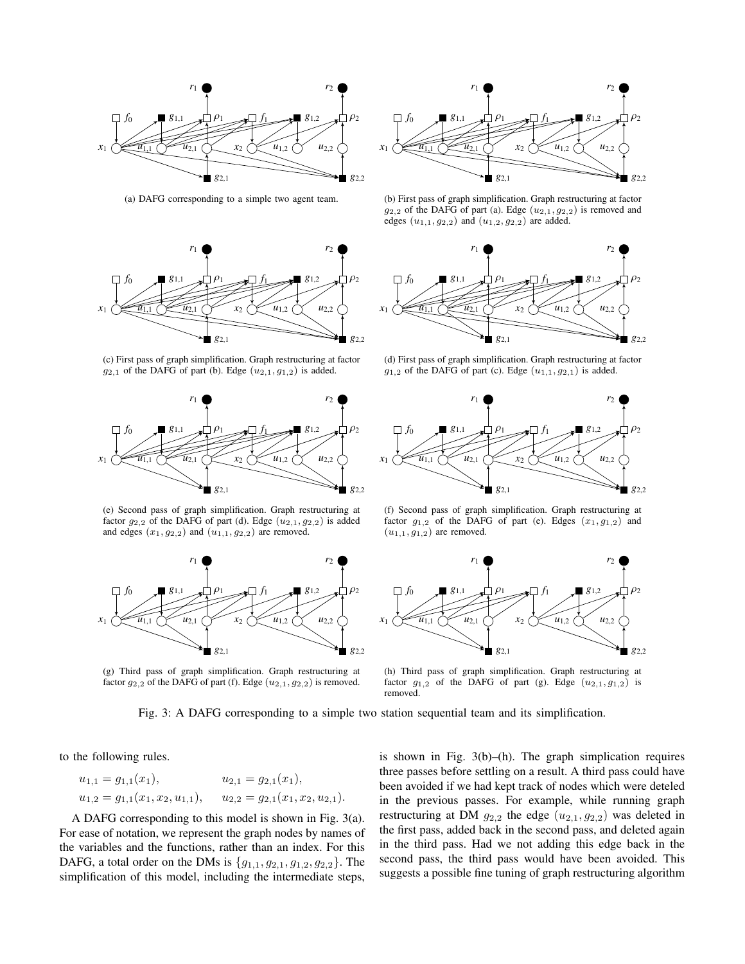

(a) DAFG corresponding to a simple two agent team.



(c) First pass of graph simplification. Graph restructuring at factor  $g_{2,1}$  of the DAFG of part (b). Edge  $(u_{2,1}, g_{1,2})$  is added.



(e) Second pass of graph simplification. Graph restructuring at factor  $g_{2,2}$  of the DAFG of part (d). Edge  $(u_{2,1}, g_{2,2})$  is added and edges  $(x_1, g_2, z)$  and  $(u_1, x_1, g_2, z)$  are removed.



(g) Third pass of graph simplification. Graph restructuring at factor  $g_{2,2}$  of the DAFG of part (f). Edge  $(u_{2,1}, g_{2,2})$  is removed.



(b) First pass of graph simplification. Graph restructuring at factor  $g_{2,2}$  of the DAFG of part (a). Edge  $(u_{2,1}, g_{2,2})$  is removed and edges  $(u_{1,1}, g_{2,2})$  and  $(u_{1,2}, g_{2,2})$  are added.



(d) First pass of graph simplification. Graph restructuring at factor  $g_{1,2}$  of the DAFG of part (c). Edge  $(u_{1,1}, g_{2,1})$  is added.



(f) Second pass of graph simplification. Graph restructuring at factor  $g_{1,2}$  of the DAFG of part (e). Edges  $(x_1, g_{1,2})$  and  $(u_{1,1}, g_{1,2})$  are removed.



(h) Third pass of graph simplification. Graph restructuring at factor  $g_{1,2}$  of the DAFG of part (g). Edge  $(u_{2,1}, g_{1,2})$  is removed.

Fig. 3: A DAFG corresponding to a simple two station sequential team and its simplification.

to the following rules.

$$
u_{1,1} = g_{1,1}(x_1), \t u_{2,1} = g_{2,1}(x_1),
$$
  
\n
$$
u_{1,2} = g_{1,1}(x_1, x_2, u_{1,1}), \t u_{2,2} = g_{2,1}(x_1, x_2, u_{2,1}).
$$

A DAFG corresponding to this model is shown in Fig. 3(a). For ease of notation, we represent the graph nodes by names of the variables and the functions, rather than an index. For this DAFG, a total order on the DMs is  ${g_{1,1}, g_{2,1}, g_{1,2}, g_{2,2}}$ . The simplification of this model, including the intermediate steps, is shown in Fig. 3(b)–(h). The graph simplication requires three passes before settling on a result. A third pass could have been avoided if we had kept track of nodes which were deteled in the previous passes. For example, while running graph restructuring at DM  $g_{2,2}$  the edge  $(u_{2,1}, g_{2,2})$  was deleted in the first pass, added back in the second pass, and deleted again in the third pass. Had we not adding this edge back in the second pass, the third pass would have been avoided. This suggests a possible fine tuning of graph restructuring algorithm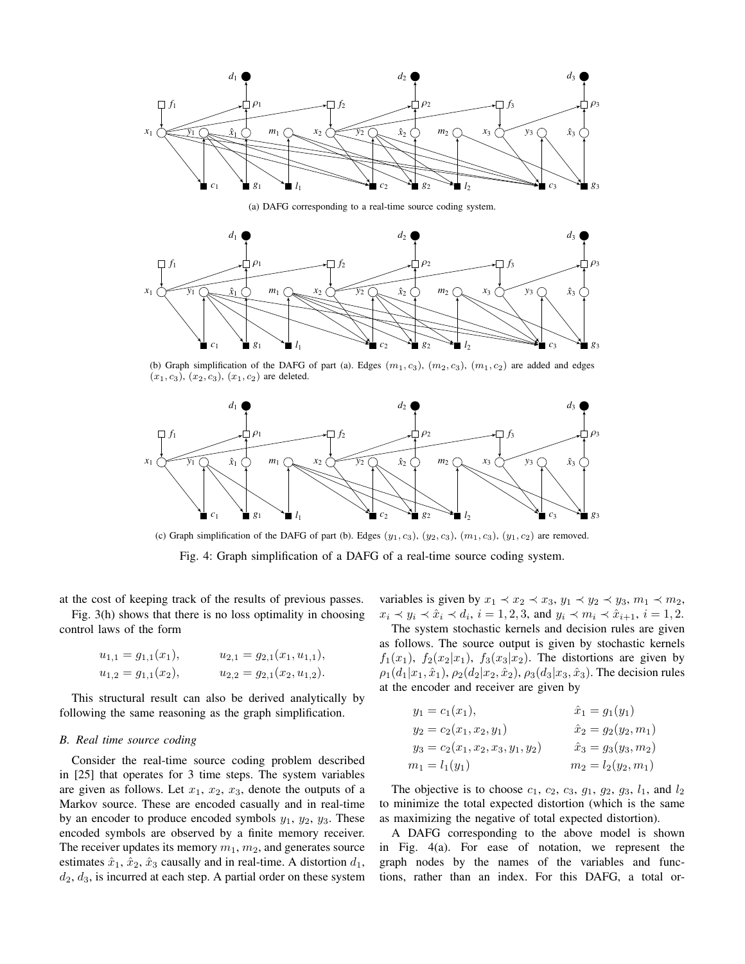

(a) DAFG corresponding to a real-time source coding system.



(b) Graph simplification of the DAFG of part (a). Edges  $(m_1, c_3)$ ,  $(m_2, c_3)$ ,  $(m_1, c_2)$  are added and edges  $(x_1, c_3), (x_2, c_3), (x_1, c_2)$  are deleted.



(c) Graph simplification of the DAFG of part (b). Edges  $(y_1, c_3)$ ,  $(y_2, c_3)$ ,  $(m_1, c_3)$ ,  $(y_1, c_2)$  are removed.

Fig. 4: Graph simplification of a DAFG of a real-time source coding system.

at the cost of keeping track of the results of previous passes.

Fig. 3(h) shows that there is no loss optimality in choosing control laws of the form

$$
u_{1,1} = g_{1,1}(x_1), \t u_{2,1} = g_{2,1}(x_1, u_{1,1}),
$$
  
\n
$$
u_{1,2} = g_{1,1}(x_2), \t u_{2,2} = g_{2,1}(x_2, u_{1,2}).
$$

This structural result can also be derived analytically by following the same reasoning as the graph simplification.

## *B. Real time source coding*

Consider the real-time source coding problem described in [25] that operates for 3 time steps. The system variables are given as follows. Let  $x_1$ ,  $x_2$ ,  $x_3$ , denote the outputs of a Markov source. These are encoded casually and in real-time by an encoder to produce encoded symbols  $y_1, y_2, y_3$ . These encoded symbols are observed by a finite memory receiver. The receiver updates its memory  $m_1$ ,  $m_2$ , and generates source estimates  $\hat{x}_1$ ,  $\hat{x}_2$ ,  $\hat{x}_3$  causally and in real-time. A distortion  $d_1$ ,  $d_2, d_3$ , is incurred at each step. A partial order on these system variables is given by  $x_1 \prec x_2 \prec x_3, y_1 \prec y_2 \prec y_3, m_1 \prec m_2$ ,  $x_i \prec y_i \prec \hat{x}_i \prec d_i, i = 1, 2, 3, \text{ and } y_i \prec m_i \prec \hat{x}_{i+1}, i = 1, 2.$ 

The system stochastic kernels and decision rules are given as follows. The source output is given by stochastic kernels  $f_1(x_1)$ ,  $f_2(x_2|x_1)$ ,  $f_3(x_3|x_2)$ . The distortions are given by  $\rho_1(d_1|x_1, \hat{x}_1)$ ,  $\rho_2(d_2|x_2, \hat{x}_2)$ ,  $\rho_3(d_3|x_3, \hat{x}_3)$ . The decision rules at the encoder and receiver are given by

$$
y_1 = c_1(x_1), \qquad \hat{x}_1 = g_1(y_1)
$$
  
\n
$$
y_2 = c_2(x_1, x_2, y_1) \qquad \hat{x}_2 = g_2(y_2, m_1)
$$
  
\n
$$
y_3 = c_2(x_1, x_2, x_3, y_1, y_2) \qquad \hat{x}_3 = g_3(y_3, m_2)
$$
  
\n
$$
m_1 = l_1(y_1) \qquad m_2 = l_2(y_2, m_1)
$$

The objective is to choose  $c_1$ ,  $c_2$ ,  $c_3$ ,  $g_1$ ,  $g_2$ ,  $g_3$ ,  $l_1$ , and  $l_2$ to minimize the total expected distortion (which is the same as maximizing the negative of total expected distortion).

A DAFG corresponding to the above model is shown in Fig. 4(a). For ease of notation, we represent the graph nodes by the names of the variables and functions, rather than an index. For this DAFG, a total or